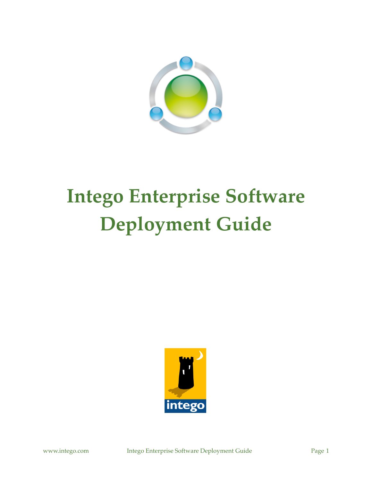

# **Intego Enterprise Software Deployment Guide**

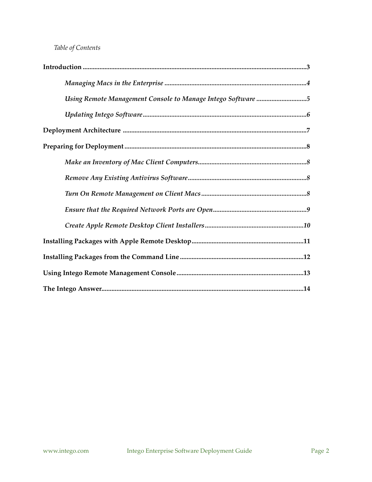## *Table of Contents*

| Using Remote Management Console to Manage Intego Software 5 |
|-------------------------------------------------------------|
|                                                             |
|                                                             |
|                                                             |
|                                                             |
|                                                             |
|                                                             |
|                                                             |
|                                                             |
|                                                             |
|                                                             |
|                                                             |
|                                                             |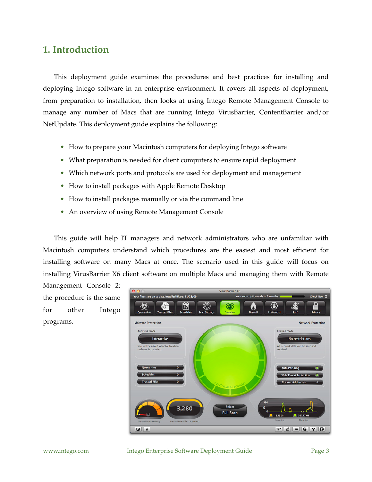## <span id="page-2-0"></span>**1. Introduction**

This deployment guide examines the procedures and best practices for installing and deploying Intego software in an enterprise environment. It covers all aspects of deployment, from preparation to installation, then looks at using Intego Remote Management Console to manage any number of Macs that are running Intego VirusBarrier, ContentBarrier and/or NetUpdate. This deployment guide explains the following:

- How to prepare your Macintosh computers for deploying Intego software
- What preparation is needed for client computers to ensure rapid deployment
- Which network ports and protocols are used for deployment and management
- How to install packages with Apple Remote Desktop
- How to install packages manually or via the command line
- An overview of using Remote Management Console

This guide will help IT managers and network administrators who are unfamiliar with Macintosh computers understand which procedures are the easiest and most efficient for installing software on many Macs at once. The scenario used in this guide will focus on installing VirusBarrier X6 client software on multiple Macs and managing them with Remote

Management Console 2; the procedure is the same for other Intego programs.

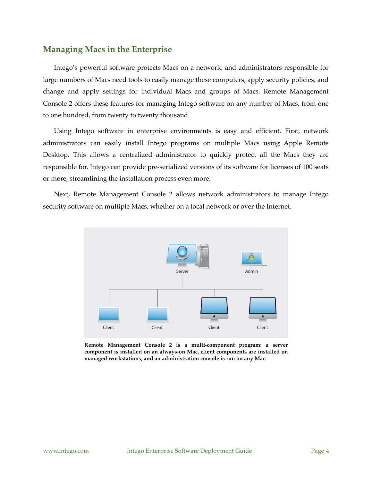### <span id="page-3-0"></span>**Managing Macs in the Enterprise**

Intego's powerful software protects Macs on a network, and administrators responsible for large numbers of Macs need tools to easily manage these computers, apply security policies, and change and apply settings for individual Macs and groups of Macs. Remote Management Console 2 offers these features for managing Intego software on any number of Macs, from one to one hundred, from twenty to twenty thousand.

Using Intego software in enterprise environments is easy and efficient. First, network administrators can easily install Intego programs on multiple Macs using Apple Remote Desktop. This allows a centralized administrator to quickly protect all the Macs they are responsible for. Intego can provide pre-serialized versions of its software for licenses of 100 seats or more, streamlining the installation process even more.

Next, Remote Management Console 2 allows network administrators to manage Intego security software on multiple Macs, whether on a local network or over the Internet.



**Remote Management Console 2 is a multi-component program: a server component is installed on an always-on Mac, client components are installed on managed workstations, and an administration console is run on any Mac.**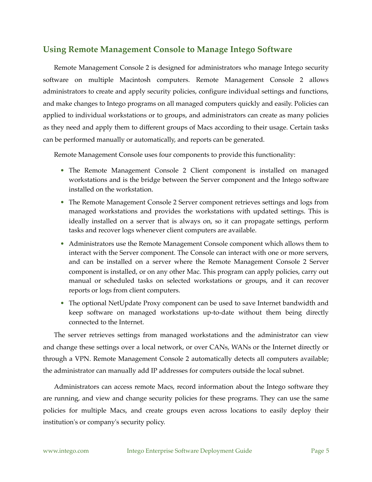## <span id="page-4-0"></span>**Using Remote Management Console to Manage Intego Software**

Remote Management Console 2 is designed for administrators who manage Intego security software on multiple Macintosh computers. Remote Management Console 2 allows administrators to create and apply security policies, configure individual settings and functions, and make changes to Intego programs on all managed computers quickly and easily. Policies can applied to individual workstations or to groups, and administrators can create as many policies as they need and apply them to different groups of Macs according to their usage. Certain tasks can be performed manually or automatically, and reports can be generated.

Remote Management Console uses four components to provide this functionality:

- The Remote Management Console 2 Client component is installed on managed workstations and is the bridge between the Server component and the Intego software installed on the workstation.
- The Remote Management Console 2 Server component retrieves settings and logs from managed workstations and provides the workstations with updated settings. This is ideally installed on a server that is always on, so it can propagate settings, perform tasks and recover logs whenever client computers are available.
- Administrators use the Remote Management Console component which allows them to interact with the Server component. The Console can interact with one or more servers, and can be installed on a server where the Remote Management Console 2 Server component is installed, or on any other Mac. This program can apply policies, carry out manual or scheduled tasks on selected workstations or groups, and it can recover reports or logs from client computers.
- The optional NetUpdate Proxy component can be used to save Internet bandwidth and keep software on managed workstations up-to-date without them being directly connected to the Internet.

The server retrieves settings from managed workstations and the administrator can view and change these settings over a local network, or over CANs, WANs or the Internet directly or through a VPN. Remote Management Console 2 automatically detects all computers available; the administrator can manually add IP addresses for computers outside the local subnet.

Administrators can access remote Macs, record information about the Intego software they are running, and view and change security policies for these programs. They can use the same policies for multiple Macs, and create groups even across locations to easily deploy their institution's or company's security policy.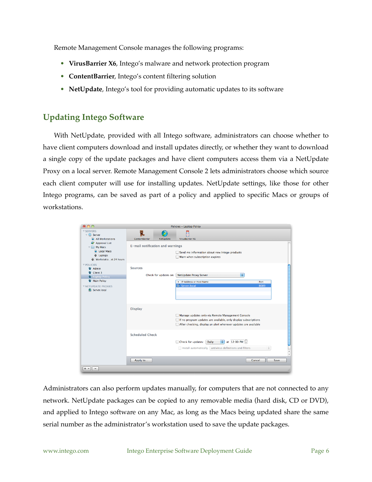Remote Management Console manages the following programs:

- **VirusBarrier X6**, Intego's malware and network protection program
- **ContentBarrier**, Intego's content filtering solution
- **NetUpdate**, Intego's tool for providing automatic updates to its software

## <span id="page-5-0"></span>**Updating Intego Software**

With NetUpdate, provided with all Intego software, administrators can choose whether to have client computers download and install updates directly, or whether they want to download a single copy of the update packages and have client computers access them via a NetUpdate Proxy on a local server. Remote Management Console 2 lets administrators choose which source each client computer will use for installing updates. NetUpdate settings, like those for other Intego programs, can be saved as part of a policy and applied to specific Macs or groups of workstations.

| 000                                                                                                                                    |                                  |                  | Policies - Laptop Policy                                                                                                                                                                |
|----------------------------------------------------------------------------------------------------------------------------------------|----------------------------------|------------------|-----------------------------------------------------------------------------------------------------------------------------------------------------------------------------------------|
| <b>V SERVERS</b><br>$\nabla$ Server<br>All Workstations                                                                                | ContentBarrier                   | <b>NetUpdate</b> | ę<br>VirusBarrier X6                                                                                                                                                                    |
| Approval List<br>My Macs<br>$\overline{\mathbf{v}}$<br><b>Local Macs</b><br><b>b</b> Laptops<br>O Workstatiost 24 hours                | E-mail notification and warnings |                  | Send me information about new Intego products<br>Warn when subscription expires                                                                                                         |
| <b>▼ POLICIES</b><br><b>Q</b> Admin<br>Client 3<br>Laptop Policy<br><b>V</b> Main Policy<br><b>V NETUPDATE PROXIES</b><br>Server.local | <b>Sources</b>                   |                  | ÷<br>Check for updates on: NetUpdate Proxy Server<br>• IP Address or Host Name<br>Port<br>$\overline{\mathbf{u}}$ Server, local<br>8089                                                 |
|                                                                                                                                        | <b>Display</b>                   |                  | Manage updates only via Remote Management Console<br>If no program updates are available, only display subscriptions<br>After checking, display an alert whenever updates are available |
|                                                                                                                                        | <b>Scheduled Check</b>           |                  | $\div$ at 12:00 PM $\left \div\right $<br>Check for updates:<br>Daily<br>Install automatically antivirus definitions and filters<br>÷<br>$\frac{4}{\pi}$                                |
|                                                                                                                                        | Apply to                         |                  | Cancel<br>Save                                                                                                                                                                          |
| $+$ $+$<br>$-$                                                                                                                         |                                  |                  |                                                                                                                                                                                         |

Administrators can also perform updates manually, for computers that are not connected to any network. NetUpdate packages can be copied to any removable media (hard disk, CD or DVD), and applied to Intego software on any Mac, as long as the Macs being updated share the same serial number as the administrator's workstation used to save the update packages.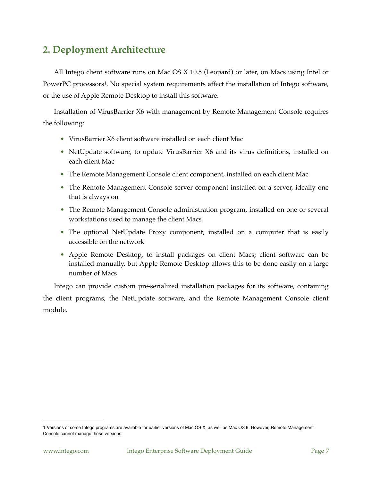# <span id="page-6-0"></span>**2. Deployment Architecture**

All Intego client software runs on Mac OS X 10.5 (Leopard) or later, on Macs using Intel or PowerPC processors<sup>[1](#page-6-1)</sup>. No special system requirements affect the installation of Intego software, or the use of Apple Remote Desktop to install this software.

Installation of VirusBarrier X6 with management by Remote Management Console requires the following:

- VirusBarrier X6 client software installed on each client Mac
- NetUpdate software, to update VirusBarrier X6 and its virus definitions, installed on each client Mac
- The Remote Management Console client component, installed on each client Mac
- The Remote Management Console server component installed on a server, ideally one that is always on
- The Remote Management Console administration program, installed on one or several workstations used to manage the client Macs
- The optional NetUpdate Proxy component, installed on a computer that is easily accessible on the network
- Apple Remote Desktop, to install packages on client Macs; client software can be installed manually, but Apple Remote Desktop allows this to be done easily on a large number of Macs

Intego can provide custom pre-serialized installation packages for its software, containing the client programs, the NetUpdate software, and the Remote Management Console client module.

<span id="page-6-1"></span><sup>1</sup> Versions of some Intego programs are available for earlier versions of Mac OS X, as well as Mac OS 9. However, Remote Management Console cannot manage these versions.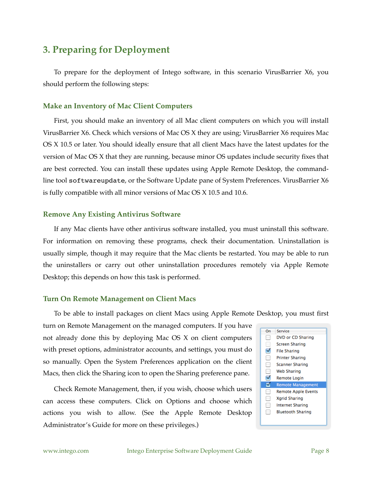## <span id="page-7-0"></span>**3. Preparing for Deployment**

To prepare for the deployment of Intego software, in this scenario VirusBarrier X6, you should perform the following steps:

#### <span id="page-7-1"></span>**Make an Inventory of Mac Client Computers**

First, you should make an inventory of all Mac client computers on which you will install VirusBarrier X6. Check which versions of Mac OS X they are using; VirusBarrier X6 requires Mac OS X 10.5 or later. You should ideally ensure that all client Macs have the latest updates for the version of Mac OS X that they are running, because minor OS updates include security fixes that are best corrected. You can install these updates using Apple Remote Desktop, the commandline tool softwareupdate, or the Software Update pane of System Preferences. VirusBarrier X6 is fully compatible with all minor versions of Mac OS X 10.5 and 10.6.

#### <span id="page-7-2"></span>**Remove Any Existing Antivirus Software**

If any Mac clients have other antivirus software installed, you must uninstall this software. For information on removing these programs, check their documentation. Uninstallation is usually simple, though it may require that the Mac clients be restarted. You may be able to run the uninstallers or carry out other uninstallation procedures remotely via Apple Remote Desktop; this depends on how this task is performed.

#### <span id="page-7-3"></span>**Turn On Remote Management on Client Macs**

To be able to install packages on client Macs using Apple Remote Desktop, you must first

turn on Remote Management on the managed computers. If you have not already done this by deploying Mac OS X on client computers with preset options, administrator accounts, and settings, you must do so manually. Open the System Preferences application on the client Macs, then click the Sharing icon to open the Sharing preference pane.

Check Remote Management, then, if you wish, choose which users can access these computers. Click on Options and choose which actions you wish to allow. (See the Apple Remote Desktop Administrator's Guide for more on these privileges.)

| On | Service                    |
|----|----------------------------|
|    | DVD or CD Sharing          |
|    | Screen Sharing             |
|    | <b>File Sharing</b>        |
|    | Printer Sharing            |
|    | <b>Scanner Sharing</b>     |
|    | <b>Web Sharing</b>         |
|    | Remote Login               |
|    | <b>Remote Management</b>   |
|    | <b>Remote Apple Events</b> |
|    | <b>Xarid Sharing</b>       |
|    | <b>Internet Sharing</b>    |
|    | <b>Bluetooth Sharing</b>   |
|    |                            |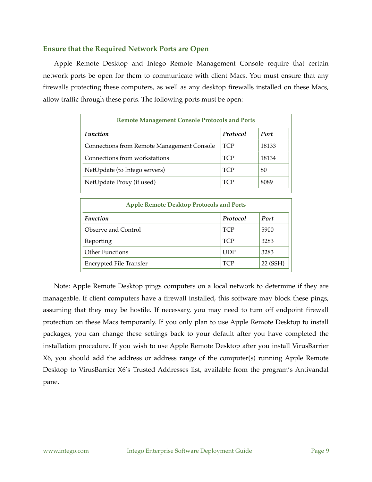#### <span id="page-8-0"></span>**Ensure that the Required Network Ports are Open**

Apple Remote Desktop and Intego Remote Management Console require that certain network ports be open for them to communicate with client Macs. You must ensure that any firewalls protecting these computers, as well as any desktop firewalls installed on these Macs, allow traffic through these ports. The following ports must be open:

| <b>Remote Management Console Protocols and Ports</b> |            |       |  |  |  |
|------------------------------------------------------|------------|-------|--|--|--|
| <b>Function</b>                                      | Protocol   | Port  |  |  |  |
| Connections from Remote Management Console           | <b>TCP</b> | 18133 |  |  |  |
| Connections from workstations                        | <b>TCP</b> | 18134 |  |  |  |
| NetUpdate (to Intego servers)                        | <b>TCP</b> | 80    |  |  |  |
| NetUpdate Proxy (if used)                            | <b>TCP</b> | 8089  |  |  |  |

| <b>Apple Remote Desktop Protocols and Ports</b> |            |          |  |  |  |
|-------------------------------------------------|------------|----------|--|--|--|
| <b>Function</b>                                 | Protocol   | Port     |  |  |  |
| Observe and Control                             | <b>TCP</b> | 5900     |  |  |  |
| Reporting                                       | <b>TCP</b> | 3283     |  |  |  |
| <b>Other Functions</b>                          | <b>UDP</b> | 3283     |  |  |  |
| Encrypted File Transfer                         | <b>TCP</b> | 22 (SSH) |  |  |  |

Note: Apple Remote Desktop pings computers on a local network to determine if they are manageable. If client computers have a firewall installed, this software may block these pings, assuming that they may be hostile. If necessary, you may need to turn off endpoint firewall protection on these Macs temporarily. If you only plan to use Apple Remote Desktop to install packages, you can change these settings back to your default after you have completed the installation procedure. If you wish to use Apple Remote Desktop after you install VirusBarrier X6, you should add the address or address range of the computer(s) running Apple Remote Desktop to VirusBarrier X6's Trusted Addresses list, available from the program's Antivandal pane.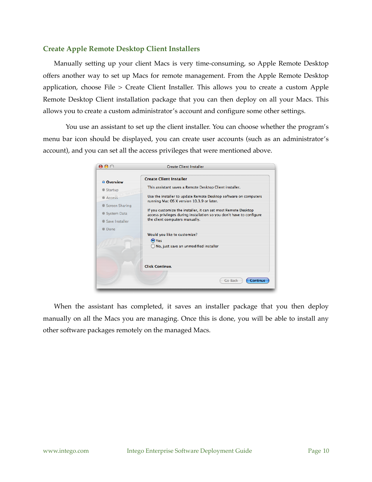#### <span id="page-9-0"></span>**Create Apple Remote Desktop Client Installers**

Manually setting up your client Macs is very time-consuming, so Apple Remote Desktop offers another way to set up Macs for remote management. From the Apple Remote Desktop application, choose File > Create Client Installer. This allows you to create a custom Apple Remote Desktop Client installation package that you can then deploy on all your Macs. This allows you to create a custom administrator's account and configure some other settings.

 You use an assistant to set up the client installer. You can choose whether the program's menu bar icon should be displayed, you can create user accounts (such as an administrator's account), and you can set all the access privileges that were mentioned above.

| $\Theta$ $\Theta$ $\odot$ | <b>Create Client Installer</b>                                                                                                         |
|---------------------------|----------------------------------------------------------------------------------------------------------------------------------------|
| <b>O</b> Overview         | <b>Create Client Installer</b>                                                                                                         |
| Startup                   | This assistant saves a Remote Desktop Client installer.                                                                                |
| Access                    | Use the installer to update Remote Desktop software on computers<br>running Mac OS X version 10.3.9 or later.                          |
| G Screen Sharing          |                                                                                                                                        |
| System Data               | If you customize the installer, it can set most Remote Desktop<br>access privileges during installation so you don't have to configure |
| Save Installer            | the client computers manually.                                                                                                         |
| Done                      |                                                                                                                                        |
|                           | Would you like to customize?                                                                                                           |
|                           | $\odot$ Yes<br>No, just save an unmodified installer                                                                                   |
|                           |                                                                                                                                        |
|                           | <b>Click Continue.</b>                                                                                                                 |
|                           | Continue<br><b>Go Back</b>                                                                                                             |

When the assistant has completed, it saves an installer package that you then deploy manually on all the Macs you are managing. Once this is done, you will be able to install any other software packages remotely on the managed Macs.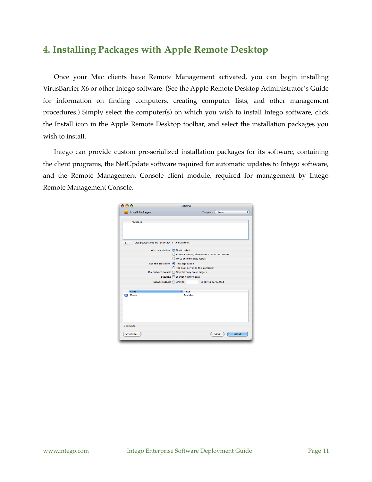# <span id="page-10-0"></span>**4. Installing Packages with Apple Remote Desktop**

Once your Mac clients have Remote Management activated, you can begin installing VirusBarrier X6 or other Intego software. (See the Apple Remote Desktop Administrator's Guide for information on finding computers, creating computer lists, and other management procedures.) Simply select the computer(s) on which you wish to install Intego software, click the Install icon in the Apple Remote Desktop toolbar, and select the installation packages you wish to install.

Intego can provide custom pre-serialized installation packages for its software, containing the client programs, the NetUpdate software required for automatic updates to Intego software, and the Remote Management Console client module, required for management by Intego Remote Management Console.

| <b>Install Packages</b><br><b>Packages</b><br>Drag packages into the list or click "+" to locate them.<br>÷ | Template:<br>None<br>After installation: O Don't restart<br>○ Attempt restart, allow users to save documents |
|-------------------------------------------------------------------------------------------------------------|--------------------------------------------------------------------------------------------------------------|
|                                                                                                             |                                                                                                              |
|                                                                                                             |                                                                                                              |
|                                                                                                             |                                                                                                              |
|                                                                                                             |                                                                                                              |
|                                                                                                             |                                                                                                              |
|                                                                                                             | Force an immediate restart                                                                                   |
|                                                                                                             | Run this task from: ● This application                                                                       |
|                                                                                                             | ◯ The Task Server on this computer                                                                           |
|                                                                                                             | If a problem occurs: Stop the copy on all targets                                                            |
|                                                                                                             | Security: Encrypt network data                                                                               |
|                                                                                                             | Network usage: □ Limit to<br>kilobytes per second                                                            |
|                                                                                                             |                                                                                                              |
| Name                                                                                                        | ▲ Status                                                                                                     |
| Marvin<br>$\blacksquare$                                                                                    | Available                                                                                                    |
| 1 computer                                                                                                  |                                                                                                              |
|                                                                                                             |                                                                                                              |
| Schedule                                                                                                    | Install<br>Save                                                                                              |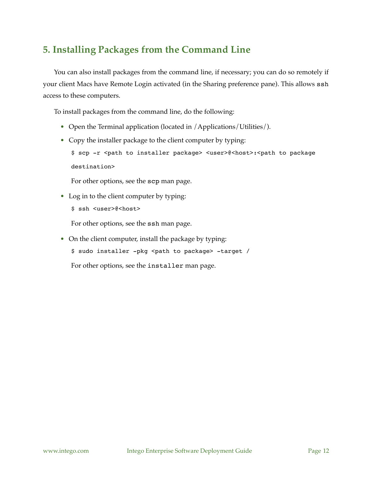# <span id="page-11-0"></span>**5. Installing Packages from the Command Line**

You can also install packages from the command line, if necessary; you can do so remotely if your client Macs have Remote Login activated (in the Sharing preference pane). This allows ssh access to these computers.

To install packages from the command line, do the following:

- Open the Terminal application (located in /Applications/Utilities/).
- Copy the installer package to the client computer by typing:

\$ scp -r <path to installer package> <user>@<host>:<path to package destination>

For other options, see the scp man page.

• Log in to the client computer by typing: \$ ssh <user>@<host>

For other options, see the ssh man page.

• On the client computer, install the package by typing: \$ sudo installer -pkg <path to package> -target / For other options, see the installer man page.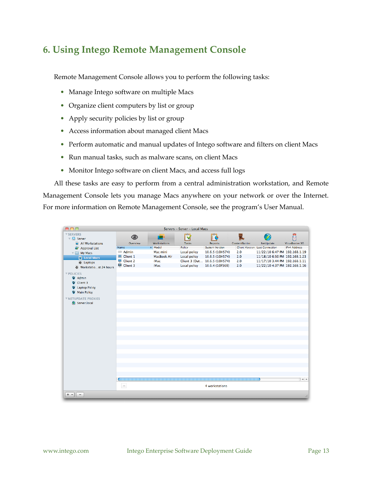# <span id="page-12-0"></span>**6. Using Intego Remote Management Console**

Remote Management Console allows you to perform the following tasks:

- Manage Intego software on multiple Macs
- Organize client computers by list or group
- Apply security policies by list or group
- Access information about managed client Macs
- Perform automatic and manual updates of Intego software and filters on client Macs
- Run manual tasks, such as malware scans, on client Macs
- Monitor Intego software on client Macs, and access full logs

All these tasks are easy to perform from a central administration workstation, and Remote Management Console lets you manage Macs anywhere on your network or over the Internet. For more information on Remote Management Console, see the program's User Manual.

| <b>V SERVERS</b><br>ę<br>Ŕ<br>応<br>$\circledcirc$<br>ш<br>$\nabla$ Server<br>All Workstations<br><b>Tasks</b><br>Overview<br><b>Workstations</b><br><b>Reports</b><br>ContentBarrier<br>NetUpdate<br>VirusBarrier X6<br>$\triangle$ Model<br><b>IPv4 Address</b><br>Policy<br><b>System Version</b><br><b>Client Version Last Connection</b><br>Name<br>Approval List<br>$=$ Admin<br>Local policy<br>10.6.5 (10H574)<br>2.0<br>11/22/10 6:47 PM 192.168.1.19<br>Mac mini<br><b>My Macs</b><br><b>■</b> Client 1<br>11/18/10 6:50 PM 192.168.1.23<br><b>MacBook Air</b><br>10.6.5 (10H574)<br>2.0<br>Local policy<br><b>El Local Macs</b><br>Client 2<br>Client 3 (Out 10.6.5 (10H574)<br>11/17/10 3:44 PM 192.168.1.11<br><b>iMac</b><br>2.0<br>O Laptops<br>里 Client 3<br><b>iMac</b><br>Local policy<br>10.6.4 (10F569)<br>2.0<br>11/22/10 4:37 PM 192.168.1.16<br>O Workstatiost 24 hours<br><b>▼ POLICIES</b><br><b>Q</b> Admin<br>Client 3<br><b>Q</b> Laptop Policy<br>Main Policy<br><b>V NETUPDATE PROXIES</b><br>Server.local<br>$+ +$<br>$\sim$<br>4 workstations<br>$+$ $+$<br>$\overline{\phantom{a}}$ | $A \cap \bigcap$ |  | Servers - Server - Local Macs |  |     |
|---------------------------------------------------------------------------------------------------------------------------------------------------------------------------------------------------------------------------------------------------------------------------------------------------------------------------------------------------------------------------------------------------------------------------------------------------------------------------------------------------------------------------------------------------------------------------------------------------------------------------------------------------------------------------------------------------------------------------------------------------------------------------------------------------------------------------------------------------------------------------------------------------------------------------------------------------------------------------------------------------------------------------------------------------------------------------------------------------------------------|------------------|--|-------------------------------|--|-----|
|                                                                                                                                                                                                                                                                                                                                                                                                                                                                                                                                                                                                                                                                                                                                                                                                                                                                                                                                                                                                                                                                                                                     |                  |  |                               |  |     |
|                                                                                                                                                                                                                                                                                                                                                                                                                                                                                                                                                                                                                                                                                                                                                                                                                                                                                                                                                                                                                                                                                                                     |                  |  |                               |  |     |
|                                                                                                                                                                                                                                                                                                                                                                                                                                                                                                                                                                                                                                                                                                                                                                                                                                                                                                                                                                                                                                                                                                                     |                  |  |                               |  |     |
|                                                                                                                                                                                                                                                                                                                                                                                                                                                                                                                                                                                                                                                                                                                                                                                                                                                                                                                                                                                                                                                                                                                     |                  |  |                               |  |     |
|                                                                                                                                                                                                                                                                                                                                                                                                                                                                                                                                                                                                                                                                                                                                                                                                                                                                                                                                                                                                                                                                                                                     |                  |  |                               |  |     |
|                                                                                                                                                                                                                                                                                                                                                                                                                                                                                                                                                                                                                                                                                                                                                                                                                                                                                                                                                                                                                                                                                                                     |                  |  |                               |  |     |
|                                                                                                                                                                                                                                                                                                                                                                                                                                                                                                                                                                                                                                                                                                                                                                                                                                                                                                                                                                                                                                                                                                                     |                  |  |                               |  |     |
|                                                                                                                                                                                                                                                                                                                                                                                                                                                                                                                                                                                                                                                                                                                                                                                                                                                                                                                                                                                                                                                                                                                     |                  |  |                               |  |     |
|                                                                                                                                                                                                                                                                                                                                                                                                                                                                                                                                                                                                                                                                                                                                                                                                                                                                                                                                                                                                                                                                                                                     |                  |  |                               |  |     |
|                                                                                                                                                                                                                                                                                                                                                                                                                                                                                                                                                                                                                                                                                                                                                                                                                                                                                                                                                                                                                                                                                                                     |                  |  |                               |  |     |
|                                                                                                                                                                                                                                                                                                                                                                                                                                                                                                                                                                                                                                                                                                                                                                                                                                                                                                                                                                                                                                                                                                                     |                  |  |                               |  |     |
|                                                                                                                                                                                                                                                                                                                                                                                                                                                                                                                                                                                                                                                                                                                                                                                                                                                                                                                                                                                                                                                                                                                     |                  |  |                               |  |     |
|                                                                                                                                                                                                                                                                                                                                                                                                                                                                                                                                                                                                                                                                                                                                                                                                                                                                                                                                                                                                                                                                                                                     |                  |  |                               |  |     |
|                                                                                                                                                                                                                                                                                                                                                                                                                                                                                                                                                                                                                                                                                                                                                                                                                                                                                                                                                                                                                                                                                                                     |                  |  |                               |  |     |
|                                                                                                                                                                                                                                                                                                                                                                                                                                                                                                                                                                                                                                                                                                                                                                                                                                                                                                                                                                                                                                                                                                                     |                  |  |                               |  |     |
|                                                                                                                                                                                                                                                                                                                                                                                                                                                                                                                                                                                                                                                                                                                                                                                                                                                                                                                                                                                                                                                                                                                     |                  |  |                               |  |     |
|                                                                                                                                                                                                                                                                                                                                                                                                                                                                                                                                                                                                                                                                                                                                                                                                                                                                                                                                                                                                                                                                                                                     |                  |  |                               |  |     |
|                                                                                                                                                                                                                                                                                                                                                                                                                                                                                                                                                                                                                                                                                                                                                                                                                                                                                                                                                                                                                                                                                                                     |                  |  |                               |  |     |
|                                                                                                                                                                                                                                                                                                                                                                                                                                                                                                                                                                                                                                                                                                                                                                                                                                                                                                                                                                                                                                                                                                                     |                  |  |                               |  |     |
|                                                                                                                                                                                                                                                                                                                                                                                                                                                                                                                                                                                                                                                                                                                                                                                                                                                                                                                                                                                                                                                                                                                     |                  |  |                               |  |     |
|                                                                                                                                                                                                                                                                                                                                                                                                                                                                                                                                                                                                                                                                                                                                                                                                                                                                                                                                                                                                                                                                                                                     |                  |  |                               |  |     |
|                                                                                                                                                                                                                                                                                                                                                                                                                                                                                                                                                                                                                                                                                                                                                                                                                                                                                                                                                                                                                                                                                                                     |                  |  |                               |  |     |
|                                                                                                                                                                                                                                                                                                                                                                                                                                                                                                                                                                                                                                                                                                                                                                                                                                                                                                                                                                                                                                                                                                                     |                  |  |                               |  |     |
|                                                                                                                                                                                                                                                                                                                                                                                                                                                                                                                                                                                                                                                                                                                                                                                                                                                                                                                                                                                                                                                                                                                     |                  |  |                               |  |     |
|                                                                                                                                                                                                                                                                                                                                                                                                                                                                                                                                                                                                                                                                                                                                                                                                                                                                                                                                                                                                                                                                                                                     |                  |  |                               |  |     |
|                                                                                                                                                                                                                                                                                                                                                                                                                                                                                                                                                                                                                                                                                                                                                                                                                                                                                                                                                                                                                                                                                                                     |                  |  |                               |  |     |
|                                                                                                                                                                                                                                                                                                                                                                                                                                                                                                                                                                                                                                                                                                                                                                                                                                                                                                                                                                                                                                                                                                                     |                  |  |                               |  |     |
|                                                                                                                                                                                                                                                                                                                                                                                                                                                                                                                                                                                                                                                                                                                                                                                                                                                                                                                                                                                                                                                                                                                     |                  |  |                               |  |     |
|                                                                                                                                                                                                                                                                                                                                                                                                                                                                                                                                                                                                                                                                                                                                                                                                                                                                                                                                                                                                                                                                                                                     |                  |  |                               |  |     |
|                                                                                                                                                                                                                                                                                                                                                                                                                                                                                                                                                                                                                                                                                                                                                                                                                                                                                                                                                                                                                                                                                                                     |                  |  |                               |  |     |
|                                                                                                                                                                                                                                                                                                                                                                                                                                                                                                                                                                                                                                                                                                                                                                                                                                                                                                                                                                                                                                                                                                                     |                  |  |                               |  | /i. |